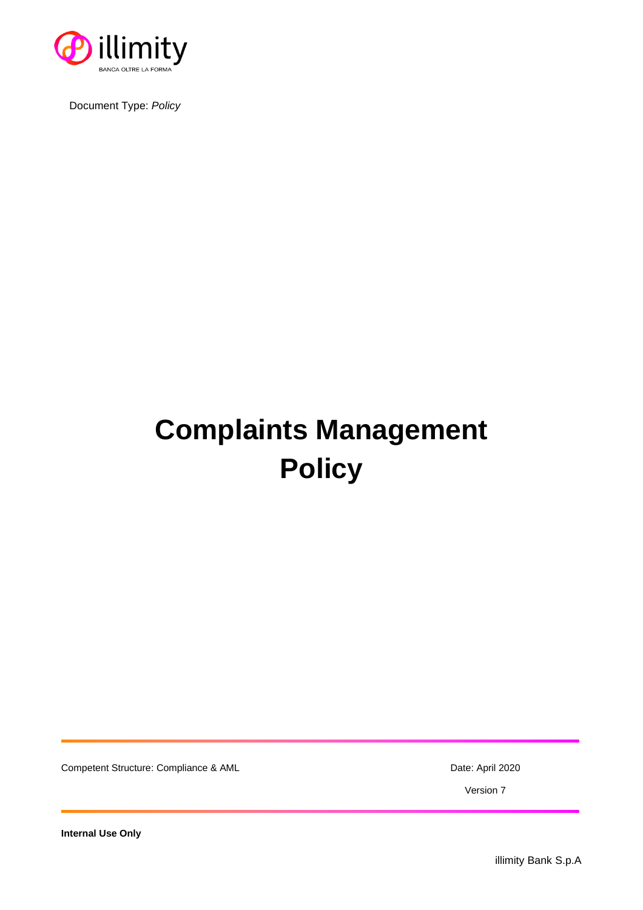

Document Type: *Policy*

# **Complaints Management Policy**

Competent Structure: Compliance & AML Date: April 2020

Version 7

**Internal Use Only**

illimity Bank S.p.A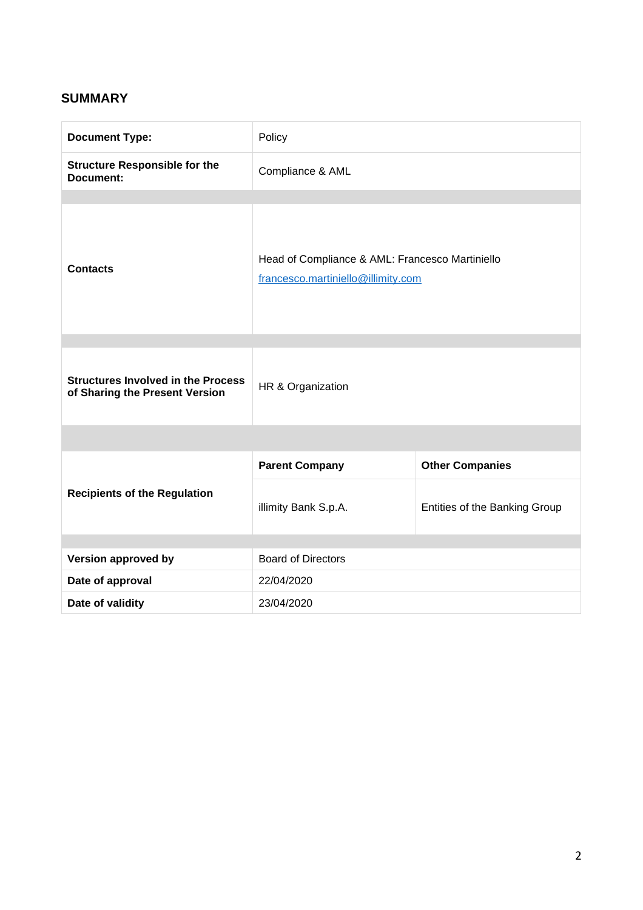# **SUMMARY**

| <b>Document Type:</b>                                                       | Policy                                                                                |                               |
|-----------------------------------------------------------------------------|---------------------------------------------------------------------------------------|-------------------------------|
| <b>Structure Responsible for the</b><br>Document:                           | Compliance & AML                                                                      |                               |
| <b>Contacts</b>                                                             | Head of Compliance & AML: Francesco Martiniello<br>francesco.martiniello@illimity.com |                               |
| <b>Structures Involved in the Process</b><br>of Sharing the Present Version | HR & Organization                                                                     |                               |
|                                                                             |                                                                                       |                               |
|                                                                             | <b>Parent Company</b>                                                                 | <b>Other Companies</b>        |
| <b>Recipients of the Regulation</b>                                         | illimity Bank S.p.A.                                                                  | Entities of the Banking Group |
| Version approved by                                                         | <b>Board of Directors</b>                                                             |                               |
| Date of approval                                                            | 22/04/2020                                                                            |                               |
| Date of validity                                                            | 23/04/2020                                                                            |                               |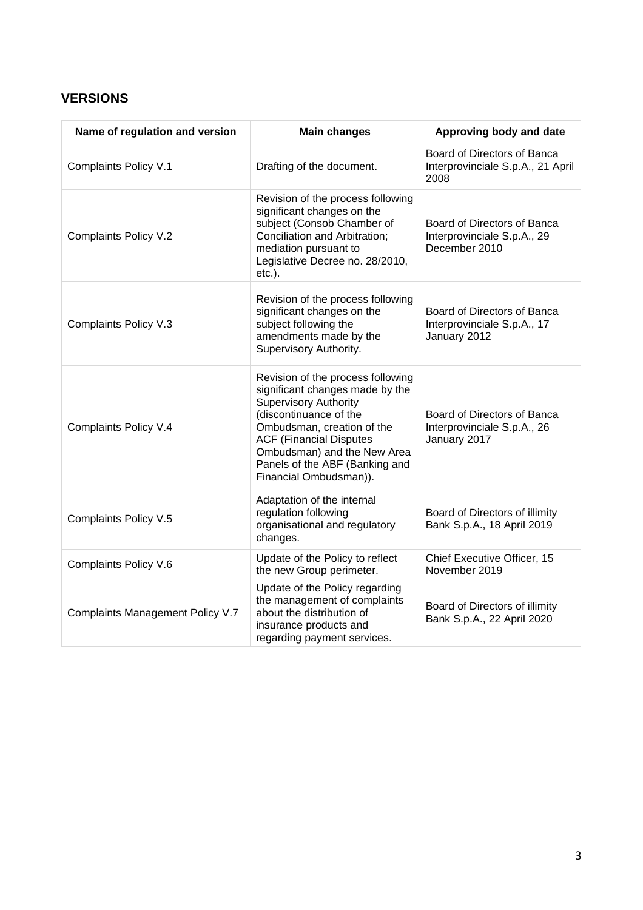# **VERSIONS**

| Name of regulation and version   | <b>Main changes</b>                                                                                                                                                                                                                                                                       | Approving body and date                                                     |
|----------------------------------|-------------------------------------------------------------------------------------------------------------------------------------------------------------------------------------------------------------------------------------------------------------------------------------------|-----------------------------------------------------------------------------|
| Complaints Policy V.1            | Drafting of the document.                                                                                                                                                                                                                                                                 | Board of Directors of Banca<br>Interprovinciale S.p.A., 21 April<br>2008    |
| Complaints Policy V.2            | Revision of the process following<br>significant changes on the<br>subject (Consob Chamber of<br>Conciliation and Arbitration;<br>mediation pursuant to<br>Legislative Decree no. 28/2010,<br>$etc.$ ).                                                                                   | Board of Directors of Banca<br>Interprovinciale S.p.A., 29<br>December 2010 |
| Complaints Policy V.3            | Revision of the process following<br>significant changes on the<br>subject following the<br>amendments made by the<br>Supervisory Authority.                                                                                                                                              | Board of Directors of Banca<br>Interprovinciale S.p.A., 17<br>January 2012  |
| Complaints Policy V.4            | Revision of the process following<br>significant changes made by the<br><b>Supervisory Authority</b><br>(discontinuance of the<br>Ombudsman, creation of the<br><b>ACF (Financial Disputes</b><br>Ombudsman) and the New Area<br>Panels of the ABF (Banking and<br>Financial Ombudsman)). | Board of Directors of Banca<br>Interprovinciale S.p.A., 26<br>January 2017  |
| Complaints Policy V.5            | Adaptation of the internal<br>regulation following<br>organisational and regulatory<br>changes.                                                                                                                                                                                           | Board of Directors of illimity<br>Bank S.p.A., 18 April 2019                |
| Complaints Policy V.6            | Update of the Policy to reflect<br>the new Group perimeter.                                                                                                                                                                                                                               | Chief Executive Officer, 15<br>November 2019                                |
| Complaints Management Policy V.7 | Update of the Policy regarding<br>the management of complaints<br>about the distribution of<br>insurance products and<br>regarding payment services.                                                                                                                                      | Board of Directors of illimity<br>Bank S.p.A., 22 April 2020                |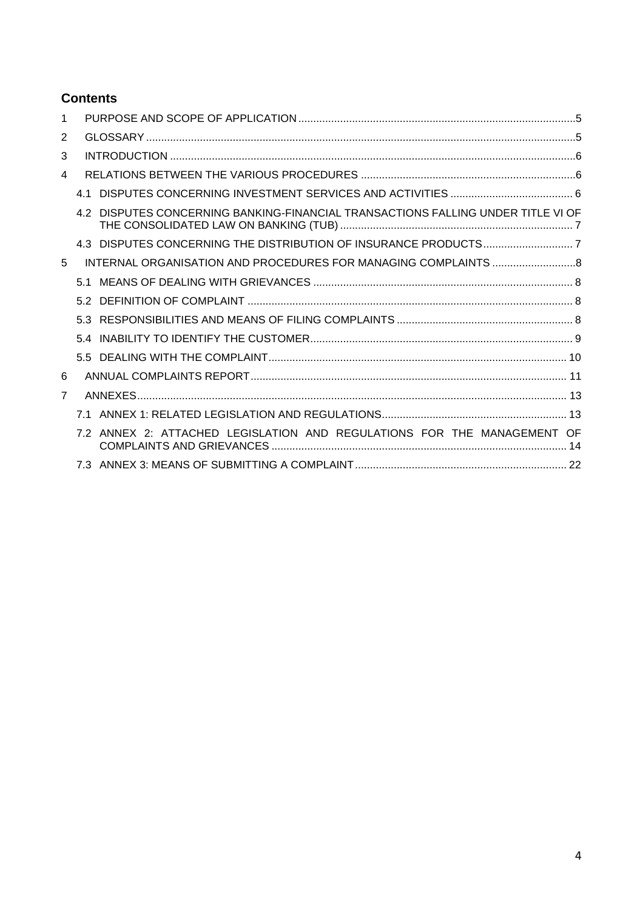# **Contents**

| 1              |     |                                                                              |  |
|----------------|-----|------------------------------------------------------------------------------|--|
| 2              |     |                                                                              |  |
| 3              |     |                                                                              |  |
| 4              |     |                                                                              |  |
|                | 4.1 |                                                                              |  |
|                |     | DISPUTES CONCERNING BANKING-FINANCIAL TRANSACTIONS FALLING UNDER TITLE VI OF |  |
|                |     | 4.3 DISPUTES CONCERNING THE DISTRIBUTION OF INSURANCE PRODUCTS7              |  |
| 5              |     |                                                                              |  |
|                | 51  |                                                                              |  |
|                | 5.2 |                                                                              |  |
|                | 53  |                                                                              |  |
|                | 5.4 |                                                                              |  |
|                |     |                                                                              |  |
| 6              |     |                                                                              |  |
| $\overline{7}$ |     |                                                                              |  |
|                | 71  |                                                                              |  |
|                |     | 7.2 ANNEX 2: ATTACHED LEGISLATION AND REGULATIONS FOR THE MANAGEMENT OF      |  |
|                |     |                                                                              |  |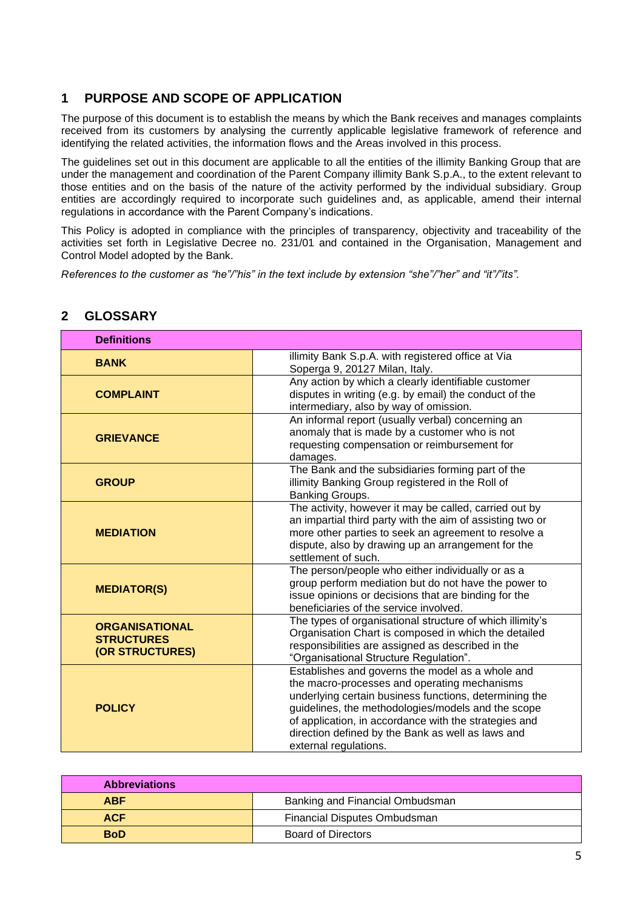# **1 PURPOSE AND SCOPE OF APPLICATION**

The purpose of this document is to establish the means by which the Bank receives and manages complaints received from its customers by analysing the currently applicable legislative framework of reference and identifying the related activities, the information flows and the Areas involved in this process.

The guidelines set out in this document are applicable to all the entities of the illimity Banking Group that are under the management and coordination of the Parent Company illimity Bank S.p.A., to the extent relevant to those entities and on the basis of the nature of the activity performed by the individual subsidiary. Group entities are accordingly required to incorporate such guidelines and, as applicable, amend their internal regulations in accordance with the Parent Company's indications.

This Policy is adopted in compliance with the principles of transparency, objectivity and traceability of the activities set forth in Legislative Decree no. 231/01 and contained in the Organisation, Management and Control Model adopted by the Bank.

*References to the customer as "he"/"his" in the text include by extension "she"/"her" and "it"/"its".*

| <b>Definitions</b>                                            |                                                                                                                                                                                                                                                                                                                                                         |
|---------------------------------------------------------------|---------------------------------------------------------------------------------------------------------------------------------------------------------------------------------------------------------------------------------------------------------------------------------------------------------------------------------------------------------|
| <b>BANK</b>                                                   | illimity Bank S.p.A. with registered office at Via<br>Soperga 9, 20127 Milan, Italy.                                                                                                                                                                                                                                                                    |
| <b>COMPLAINT</b>                                              | Any action by which a clearly identifiable customer<br>disputes in writing (e.g. by email) the conduct of the<br>intermediary, also by way of omission.                                                                                                                                                                                                 |
| <b>GRIEVANCE</b>                                              | An informal report (usually verbal) concerning an<br>anomaly that is made by a customer who is not<br>requesting compensation or reimbursement for<br>damages.                                                                                                                                                                                          |
| <b>GROUP</b>                                                  | The Bank and the subsidiaries forming part of the<br>illimity Banking Group registered in the Roll of<br>Banking Groups.                                                                                                                                                                                                                                |
| <b>MEDIATION</b>                                              | The activity, however it may be called, carried out by<br>an impartial third party with the aim of assisting two or<br>more other parties to seek an agreement to resolve a<br>dispute, also by drawing up an arrangement for the<br>settlement of such.                                                                                                |
| <b>MEDIATOR(S)</b>                                            | The person/people who either individually or as a<br>group perform mediation but do not have the power to<br>issue opinions or decisions that are binding for the<br>beneficiaries of the service involved.                                                                                                                                             |
| <b>ORGANISATIONAL</b><br><b>STRUCTURES</b><br>(OR STRUCTURES) | The types of organisational structure of which illimity's<br>Organisation Chart is composed in which the detailed<br>responsibilities are assigned as described in the<br>"Organisational Structure Regulation".                                                                                                                                        |
| <b>POLICY</b>                                                 | Establishes and governs the model as a whole and<br>the macro-processes and operating mechanisms<br>underlying certain business functions, determining the<br>guidelines, the methodologies/models and the scope<br>of application, in accordance with the strategies and<br>direction defined by the Bank as well as laws and<br>external regulations. |

# **2 GLOSSARY**

| <b>Abbreviations</b> |                                 |  |
|----------------------|---------------------------------|--|
| <b>ABF</b>           | Banking and Financial Ombudsman |  |
| <b>ACF</b>           | Financial Disputes Ombudsman    |  |
| <b>BoD</b>           | Board of Directors              |  |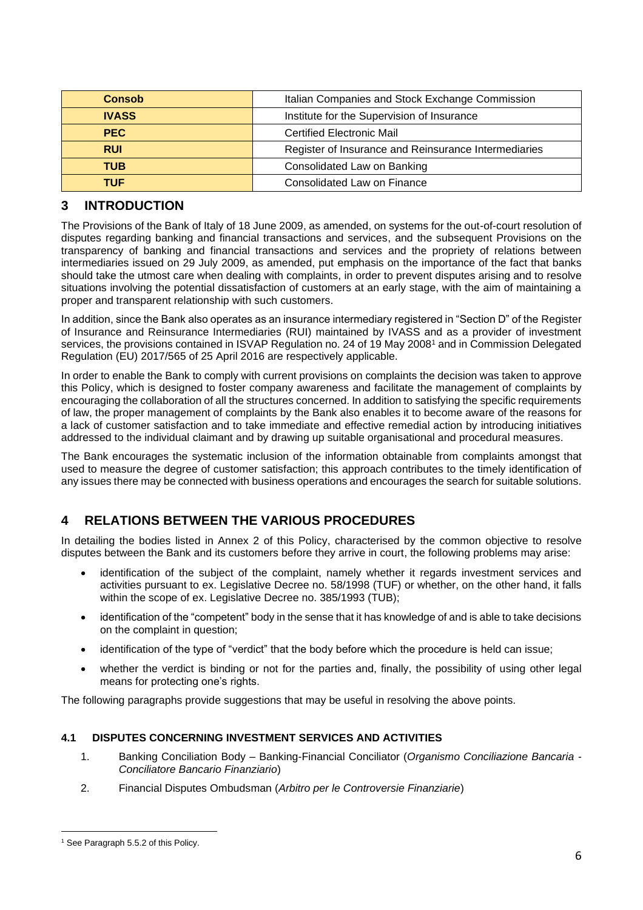| <b>Consob</b> | Italian Companies and Stock Exchange Commission      |  |
|---------------|------------------------------------------------------|--|
| <b>IVASS</b>  | Institute for the Supervision of Insurance           |  |
| <b>PEC</b>    | Certified Electronic Mail                            |  |
| <b>RUI</b>    | Register of Insurance and Reinsurance Intermediaries |  |
| <b>TUB</b>    | Consolidated Law on Banking                          |  |
| TUF           | Consolidated Law on Finance                          |  |

# **3 INTRODUCTION**

The Provisions of the Bank of Italy of 18 June 2009, as amended, on systems for the out-of-court resolution of disputes regarding banking and financial transactions and services, and the subsequent Provisions on the transparency of banking and financial transactions and services and the propriety of relations between intermediaries issued on 29 July 2009, as amended, put emphasis on the importance of the fact that banks should take the utmost care when dealing with complaints, in order to prevent disputes arising and to resolve situations involving the potential dissatisfaction of customers at an early stage, with the aim of maintaining a proper and transparent relationship with such customers.

In addition, since the Bank also operates as an insurance intermediary registered in "Section D" of the Register of Insurance and Reinsurance Intermediaries (RUI) maintained by IVASS and as a provider of investment services, the provisions contained in ISVAP Regulation no. 24 of 19 May 2008<sup>1</sup> and in Commission Delegated Regulation (EU) 2017/565 of 25 April 2016 are respectively applicable.

In order to enable the Bank to comply with current provisions on complaints the decision was taken to approve this Policy, which is designed to foster company awareness and facilitate the management of complaints by encouraging the collaboration of all the structures concerned. In addition to satisfying the specific requirements of law, the proper management of complaints by the Bank also enables it to become aware of the reasons for a lack of customer satisfaction and to take immediate and effective remedial action by introducing initiatives addressed to the individual claimant and by drawing up suitable organisational and procedural measures.

The Bank encourages the systematic inclusion of the information obtainable from complaints amongst that used to measure the degree of customer satisfaction; this approach contributes to the timely identification of any issues there may be connected with business operations and encourages the search for suitable solutions.

# **4 RELATIONS BETWEEN THE VARIOUS PROCEDURES**

In detailing the bodies listed in Annex 2 of this Policy, characterised by the common objective to resolve disputes between the Bank and its customers before they arrive in court, the following problems may arise:

- identification of the subject of the complaint, namely whether it regards investment services and activities pursuant to ex. Legislative Decree no. 58/1998 (TUF) or whether, on the other hand, it falls within the scope of ex. Legislative Decree no. 385/1993 (TUB);
- identification of the "competent" body in the sense that it has knowledge of and is able to take decisions on the complaint in question;
- identification of the type of "verdict" that the body before which the procedure is held can issue;
- whether the verdict is binding or not for the parties and, finally, the possibility of using other legal means for protecting one's rights.

The following paragraphs provide suggestions that may be useful in resolving the above points.

# **4.1 DISPUTES CONCERNING INVESTMENT SERVICES AND ACTIVITIES**

- 1. Banking Conciliation Body Banking-Financial Conciliator (*Organismo Conciliazione Bancaria - Conciliatore Bancario Finanziario*)
- 2. Financial Disputes Ombudsman (*Arbitro per le Controversie Finanziarie*)

<sup>&</sup>lt;sup>1</sup> See Paragraph 5.5.2 of this Policy.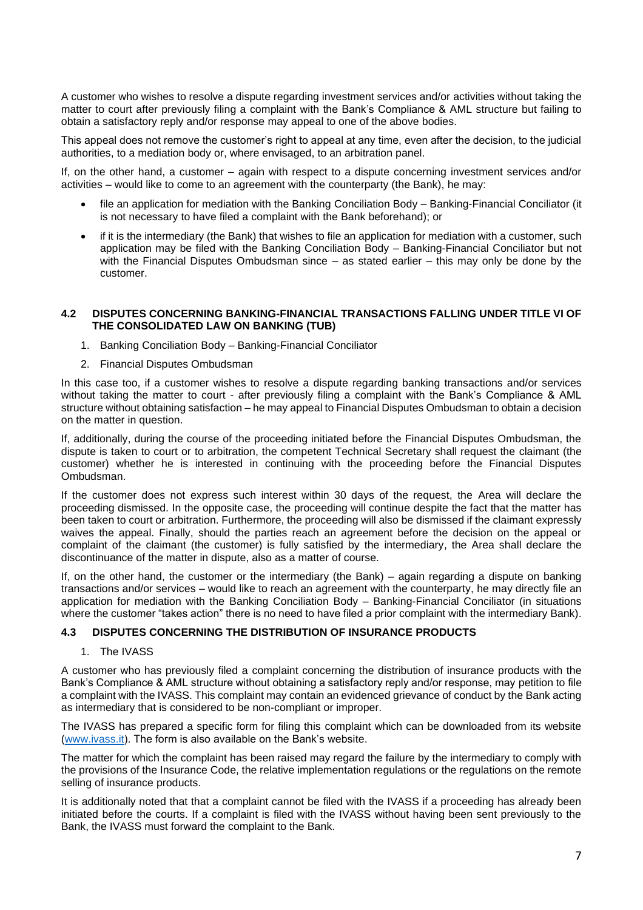A customer who wishes to resolve a dispute regarding investment services and/or activities without taking the matter to court after previously filing a complaint with the Bank's Compliance & AML structure but failing to obtain a satisfactory reply and/or response may appeal to one of the above bodies.

This appeal does not remove the customer's right to appeal at any time, even after the decision, to the judicial authorities, to a mediation body or, where envisaged, to an arbitration panel.

If, on the other hand, a customer – again with respect to a dispute concerning investment services and/or activities – would like to come to an agreement with the counterparty (the Bank), he may:

- file an application for mediation with the Banking Conciliation Body Banking-Financial Conciliator (it is not necessary to have filed a complaint with the Bank beforehand); or
- if it is the intermediary (the Bank) that wishes to file an application for mediation with a customer, such application may be filed with the Banking Conciliation Body – Banking-Financial Conciliator but not with the Financial Disputes Ombudsman since – as stated earlier – this may only be done by the customer.

#### **4.2 DISPUTES CONCERNING BANKING-FINANCIAL TRANSACTIONS FALLING UNDER TITLE VI OF THE CONSOLIDATED LAW ON BANKING (TUB)**

- 1. Banking Conciliation Body Banking-Financial Conciliator
- 2. Financial Disputes Ombudsman

In this case too, if a customer wishes to resolve a dispute regarding banking transactions and/or services without taking the matter to court - after previously filing a complaint with the Bank's Compliance & AML structure without obtaining satisfaction – he may appeal to Financial Disputes Ombudsman to obtain a decision on the matter in question.

If, additionally, during the course of the proceeding initiated before the Financial Disputes Ombudsman, the dispute is taken to court or to arbitration, the competent Technical Secretary shall request the claimant (the customer) whether he is interested in continuing with the proceeding before the Financial Disputes Ombudsman.

If the customer does not express such interest within 30 days of the request, the Area will declare the proceeding dismissed. In the opposite case, the proceeding will continue despite the fact that the matter has been taken to court or arbitration. Furthermore, the proceeding will also be dismissed if the claimant expressly waives the appeal. Finally, should the parties reach an agreement before the decision on the appeal or complaint of the claimant (the customer) is fully satisfied by the intermediary, the Area shall declare the discontinuance of the matter in dispute, also as a matter of course.

If, on the other hand, the customer or the intermediary (the Bank) – again regarding a dispute on banking transactions and/or services – would like to reach an agreement with the counterparty, he may directly file an application for mediation with the Banking Conciliation Body – Banking-Financial Conciliator (in situations where the customer "takes action" there is no need to have filed a prior complaint with the intermediary Bank).

# **4.3 DISPUTES CONCERNING THE DISTRIBUTION OF INSURANCE PRODUCTS**

#### 1. The IVASS

A customer who has previously filed a complaint concerning the distribution of insurance products with the Bank's Compliance & AML structure without obtaining a satisfactory reply and/or response, may petition to file a complaint with the IVASS. This complaint may contain an evidenced grievance of conduct by the Bank acting as intermediary that is considered to be non-compliant or improper.

The IVASS has prepared a specific form for filing this complaint which can be downloaded from its website [\(www.ivass.it\)](http://www.ivass.it/). The form is also available on the Bank's website.

The matter for which the complaint has been raised may regard the failure by the intermediary to comply with the provisions of the Insurance Code, the relative implementation regulations or the regulations on the remote selling of insurance products.

It is additionally noted that that a complaint cannot be filed with the IVASS if a proceeding has already been initiated before the courts. If a complaint is filed with the IVASS without having been sent previously to the Bank, the IVASS must forward the complaint to the Bank.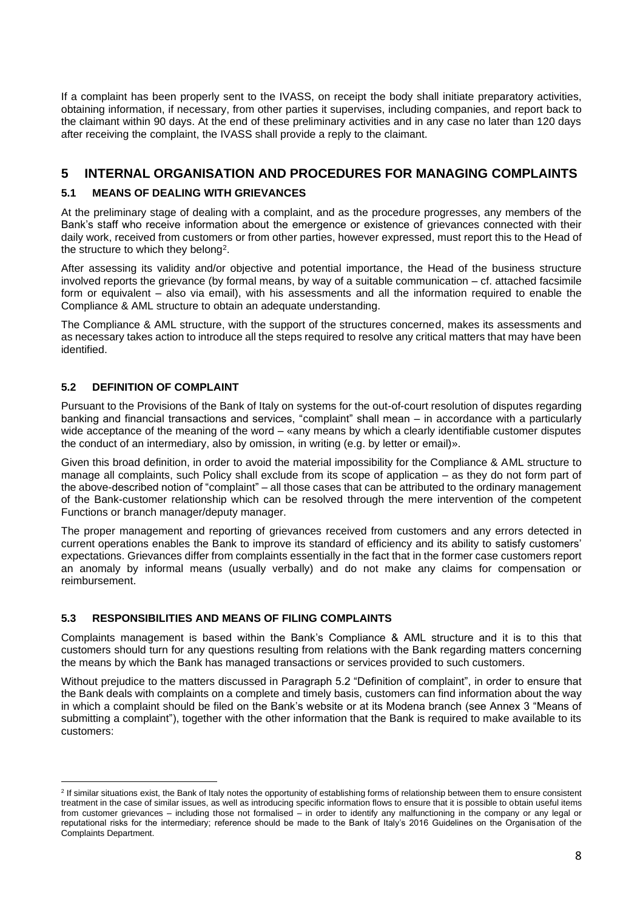If a complaint has been properly sent to the IVASS, on receipt the body shall initiate preparatory activities, obtaining information, if necessary, from other parties it supervises, including companies, and report back to the claimant within 90 days. At the end of these preliminary activities and in any case no later than 120 days after receiving the complaint, the IVASS shall provide a reply to the claimant.

# **5 INTERNAL ORGANISATION AND PROCEDURES FOR MANAGING COMPLAINTS**

# **5.1 MEANS OF DEALING WITH GRIEVANCES**

At the preliminary stage of dealing with a complaint, and as the procedure progresses, any members of the Bank's staff who receive information about the emergence or existence of grievances connected with their daily work, received from customers or from other parties, however expressed, must report this to the Head of the structure to which they belong $^{\rm 2}.$ 

After assessing its validity and/or objective and potential importance, the Head of the business structure involved reports the grievance (by formal means, by way of a suitable communication – cf. attached facsimile form or equivalent – also via email), with his assessments and all the information required to enable the Compliance & AML structure to obtain an adequate understanding.

The Compliance & AML structure, with the support of the structures concerned, makes its assessments and as necessary takes action to introduce all the steps required to resolve any critical matters that may have been identified.

# **5.2 DEFINITION OF COMPLAINT**

Pursuant to the Provisions of the Bank of Italy on systems for the out-of-court resolution of disputes regarding banking and financial transactions and services, "complaint" shall mean – in accordance with a particularly wide acceptance of the meaning of the word – «any means by which a clearly identifiable customer disputes the conduct of an intermediary, also by omission, in writing (e.g. by letter or email)».

Given this broad definition, in order to avoid the material impossibility for the Compliance & AML structure to manage all complaints, such Policy shall exclude from its scope of application – as they do not form part of the above-described notion of "complaint" – all those cases that can be attributed to the ordinary management of the Bank-customer relationship which can be resolved through the mere intervention of the competent Functions or branch manager/deputy manager.

The proper management and reporting of grievances received from customers and any errors detected in current operations enables the Bank to improve its standard of efficiency and its ability to satisfy customers' expectations. Grievances differ from complaints essentially in the fact that in the former case customers report an anomaly by informal means (usually verbally) and do not make any claims for compensation or reimbursement.

## **5.3 RESPONSIBILITIES AND MEANS OF FILING COMPLAINTS**

Complaints management is based within the Bank's Compliance & AML structure and it is to this that customers should turn for any questions resulting from relations with the Bank regarding matters concerning the means by which the Bank has managed transactions or services provided to such customers.

Without prejudice to the matters discussed in Paragraph 5.2 "Definition of complaint", in order to ensure that the Bank deals with complaints on a complete and timely basis, customers can find information about the way in which a complaint should be filed on the Bank's website or at its Modena branch (see Annex 3 "Means of submitting a complaint"), together with the other information that the Bank is required to make available to its customers:

<sup>&</sup>lt;sup>2</sup> If similar situations exist, the Bank of Italy notes the opportunity of establishing forms of relationship between them to ensure consistent treatment in the case of similar issues, as well as introducing specific information flows to ensure that it is possible to obtain useful items from customer grievances – including those not formalised – in order to identify any malfunctioning in the company or any legal or reputational risks for the intermediary; reference should be made to the Bank of Italy's 2016 Guidelines on the Organisation of the Complaints Department.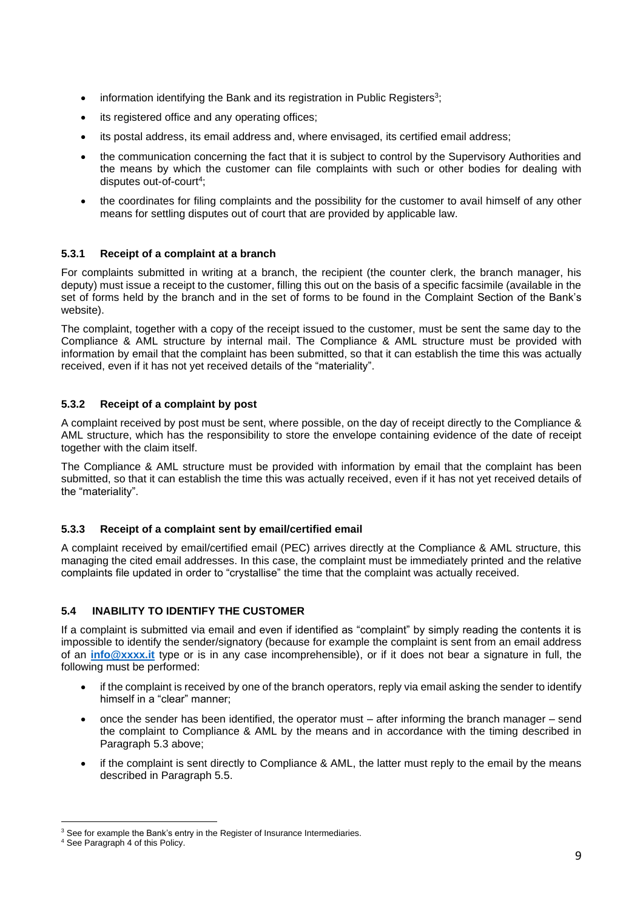- $\bullet$  information identifying the Bank and its registration in Public Registers<sup>3</sup>;
- its registered office and any operating offices;
- its postal address, its email address and, where envisaged, its certified email address;
- the communication concerning the fact that it is subject to control by the Supervisory Authorities and the means by which the customer can file complaints with such or other bodies for dealing with disputes out-of-court<sup>4</sup> ;
- the coordinates for filing complaints and the possibility for the customer to avail himself of any other means for settling disputes out of court that are provided by applicable law.

# **5.3.1 Receipt of a complaint at a branch**

For complaints submitted in writing at a branch, the recipient (the counter clerk, the branch manager, his deputy) must issue a receipt to the customer, filling this out on the basis of a specific facsimile (available in the set of forms held by the branch and in the set of forms to be found in the Complaint Section of the Bank's website).

The complaint, together with a copy of the receipt issued to the customer, must be sent the same day to the Compliance & AML structure by internal mail. The Compliance & AML structure must be provided with information by email that the complaint has been submitted, so that it can establish the time this was actually received, even if it has not yet received details of the "materiality".

# **5.3.2 Receipt of a complaint by post**

A complaint received by post must be sent, where possible, on the day of receipt directly to the Compliance & AML structure, which has the responsibility to store the envelope containing evidence of the date of receipt together with the claim itself.

The Compliance & AML structure must be provided with information by email that the complaint has been submitted, so that it can establish the time this was actually received, even if it has not yet received details of the "materiality".

# **5.3.3 Receipt of a complaint sent by email/certified email**

A complaint received by email/certified email (PEC) arrives directly at the Compliance & AML structure, this managing the cited email addresses. In this case, the complaint must be immediately printed and the relative complaints file updated in order to "crystallise" the time that the complaint was actually received.

# **5.4 INABILITY TO IDENTIFY THE CUSTOMER**

If a complaint is submitted via email and even if identified as "complaint" by simply reading the contents it is impossible to identify the sender/signatory (because for example the complaint is sent from an email address of an **[info@xxxx.it](mailto:info@xxxx.it)** type or is in any case incomprehensible), or if it does not bear a signature in full, the following must be performed:

- if the complaint is received by one of the branch operators, reply via email asking the sender to identify himself in a "clear" manner;
- once the sender has been identified, the operator must after informing the branch manager send the complaint to Compliance & AML by the means and in accordance with the timing described in Paragraph 5.3 above;
- if the complaint is sent directly to Compliance & AML, the latter must reply to the email by the means described in Paragraph 5.5.

<sup>&</sup>lt;sup>3</sup> See for example the Bank's entry in the Register of Insurance Intermediaries.

<sup>4</sup> See Paragraph 4 of this Policy.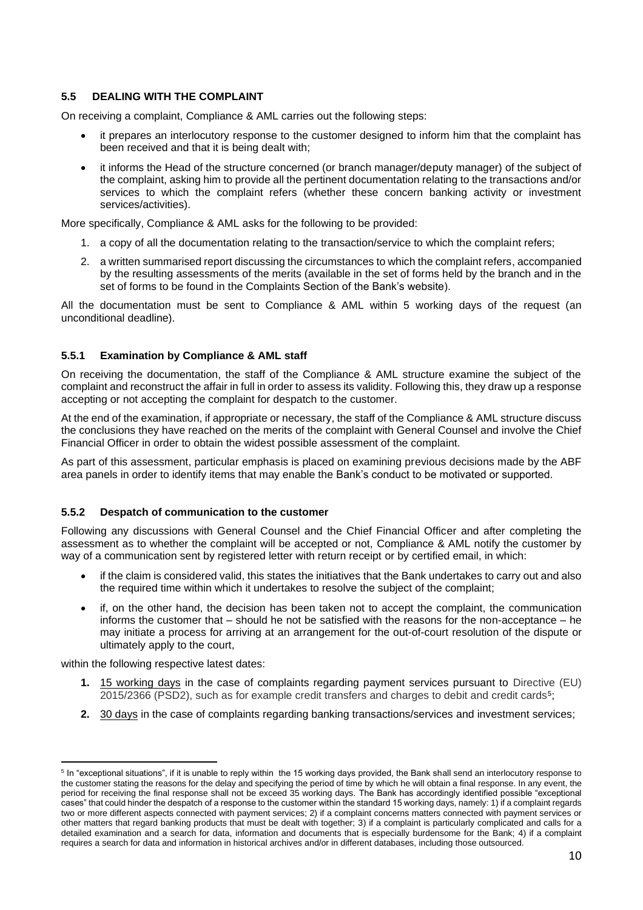# **5.5 DEALING WITH THE COMPLAINT**

On receiving a complaint, Compliance & AML carries out the following steps:

- it prepares an interlocutory response to the customer designed to inform him that the complaint has been received and that it is being dealt with;
- it informs the Head of the structure concerned (or branch manager/deputy manager) of the subject of the complaint, asking him to provide all the pertinent documentation relating to the transactions and/or services to which the complaint refers (whether these concern banking activity or investment services/activities).

More specifically, Compliance & AML asks for the following to be provided:

- 1. a copy of all the documentation relating to the transaction/service to which the complaint refers;
- 2. a written summarised report discussing the circumstances to which the complaint refers, accompanied by the resulting assessments of the merits (available in the set of forms held by the branch and in the set of forms to be found in the Complaints Section of the Bank's website).

All the documentation must be sent to Compliance & AML within 5 working days of the request (an unconditional deadline).

## **5.5.1 Examination by Compliance & AML staff**

On receiving the documentation, the staff of the Compliance & AML structure examine the subject of the complaint and reconstruct the affair in full in order to assess its validity. Following this, they draw up a response accepting or not accepting the complaint for despatch to the customer.

At the end of the examination, if appropriate or necessary, the staff of the Compliance & AML structure discuss the conclusions they have reached on the merits of the complaint with General Counsel and involve the Chief Financial Officer in order to obtain the widest possible assessment of the complaint.

As part of this assessment, particular emphasis is placed on examining previous decisions made by the ABF area panels in order to identify items that may enable the Bank's conduct to be motivated or supported.

## **5.5.2 Despatch of communication to the customer**

Following any discussions with General Counsel and the Chief Financial Officer and after completing the assessment as to whether the complaint will be accepted or not, Compliance & AML notify the customer by way of a communication sent by registered letter with return receipt or by certified email, in which:

- if the claim is considered valid, this states the initiatives that the Bank undertakes to carry out and also the required time within which it undertakes to resolve the subject of the complaint;
- if, on the other hand, the decision has been taken not to accept the complaint, the communication informs the customer that – should he not be satisfied with the reasons for the non-acceptance – he may initiate a process for arriving at an arrangement for the out-of-court resolution of the dispute or ultimately apply to the court,

within the following respective latest dates:

- **1.** 15 working days in the case of complaints regarding payment services pursuant to Directive (EU) 2015/2366 (PSD2), such as for example credit transfers and charges to debit and credit cards<sup>5</sup>;
- **2.** 30 days in the case of complaints regarding banking transactions/services and investment services;

<sup>&</sup>lt;sup>5</sup> In "exceptional situations", if it is unable to reply within the 15 working days provided, the Bank shall send an interlocutory response to the customer stating the reasons for the delay and specifying the period of time by which he will obtain a final response. In any event, the period for receiving the final response shall not be exceed 35 working days. The Bank has accordingly identified possible "exceptional cases" that could hinder the despatch of a response to the customer within the standard 15 working days, namely: 1) if a complaint regards two or more different aspects connected with payment services; 2) if a complaint concerns matters connected with payment services or other matters that regard banking products that must be dealt with together; 3) if a complaint is particularly complicated and calls for a detailed examination and a search for data, information and documents that is especially burdensome for the Bank; 4) if a complaint requires a search for data and information in historical archives and/or in different databases, including those outsourced.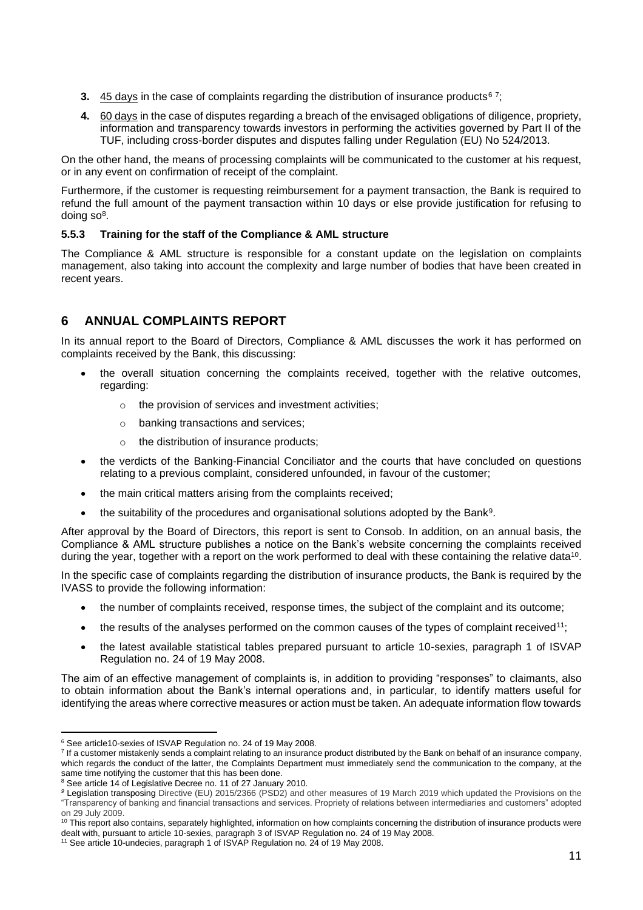- **3.** <u>45 days</u> in the case of complaints regarding the distribution of insurance products<sup>6</sup> <sup>7</sup>;
- **4.** 60 days in the case of disputes regarding a breach of the envisaged obligations of diligence, propriety, information and transparency towards investors in performing the activities governed by Part II of the TUF, including cross-border disputes and disputes falling under Regulation (EU) No 524/2013.

On the other hand, the means of processing complaints will be communicated to the customer at his request, or in any event on confirmation of receipt of the complaint.

Furthermore, if the customer is requesting reimbursement for a payment transaction, the Bank is required to refund the full amount of the payment transaction within 10 days or else provide justification for refusing to doing so<sup>8</sup>.

# **5.5.3 Training for the staff of the Compliance & AML structure**

The Compliance & AML structure is responsible for a constant update on the legislation on complaints management, also taking into account the complexity and large number of bodies that have been created in recent years.

# **6 ANNUAL COMPLAINTS REPORT**

In its annual report to the Board of Directors, Compliance & AML discusses the work it has performed on complaints received by the Bank, this discussing:

- the overall situation concerning the complaints received, together with the relative outcomes, regarding:
	- o the provision of services and investment activities;
	- o banking transactions and services;
	- o the distribution of insurance products;
- the verdicts of the Banking-Financial Conciliator and the courts that have concluded on questions relating to a previous complaint, considered unfounded, in favour of the customer;
- the main critical matters arising from the complaints received;
- the suitability of the procedures and organisational solutions adopted by the Bank<sup>9</sup>.

After approval by the Board of Directors, this report is sent to Consob. In addition, on an annual basis, the Compliance & AML structure publishes a notice on the Bank's website concerning the complaints received during the year, together with a report on the work performed to deal with these containing the relative data<sup>10</sup>.

In the specific case of complaints regarding the distribution of insurance products, the Bank is required by the IVASS to provide the following information:

- the number of complaints received, response times, the subject of the complaint and its outcome;
- the results of the analyses performed on the common causes of the types of complaint received<sup>11</sup>;
- the latest available statistical tables prepared pursuant to article 10-sexies, paragraph 1 of ISVAP Regulation no. 24 of 19 May 2008.

The aim of an effective management of complaints is, in addition to providing "responses" to claimants, also to obtain information about the Bank's internal operations and, in particular, to identify matters useful for identifying the areas where corrective measures or action must be taken. An adequate information flow towards

<sup>6</sup> See article10-sexies of ISVAP Regulation no. 24 of 19 May 2008.

<sup>&</sup>lt;sup>7</sup> If a customer mistakenly sends a complaint relating to an insurance product distributed by the Bank on behalf of an insurance company, which regards the conduct of the latter, the Complaints Department must immediately send the communication to the company, at the same time notifying the customer that this has been done.

<sup>&</sup>lt;sup>8</sup> See article 14 of Legislative Decree no. 11 of 27 January 2010.

*<sup>9</sup>* Legislation transposing Directive (EU) 2015/2366 (PSD2) and other measures of 19 March 2019 which updated the Provisions on the "Transparency of banking and financial transactions and services. Propriety of relations between intermediaries and customers" adopted on 29 July 2009.

<sup>&</sup>lt;sup>10</sup> This report also contains, separately highlighted, information on how complaints concerning the distribution of insurance products were dealt with, pursuant to article 10-sexies, paragraph 3 of ISVAP Regulation no. 24 of 19 May 2008.

<sup>&</sup>lt;sup>11</sup> See article 10-undecies, paragraph 1 of ISVAP Regulation no. 24 of 19 May 2008.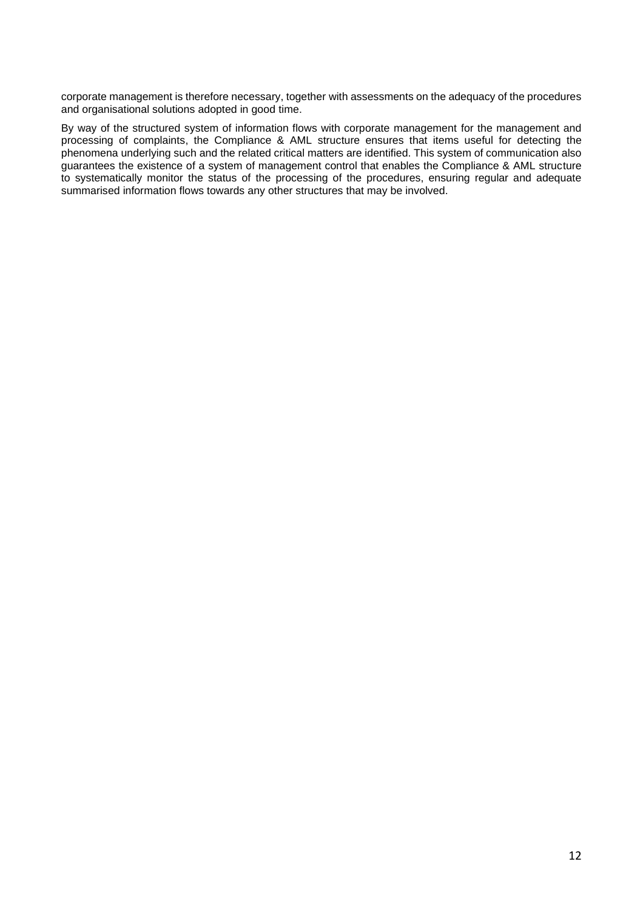corporate management is therefore necessary, together with assessments on the adequacy of the procedures and organisational solutions adopted in good time.

By way of the structured system of information flows with corporate management for the management and processing of complaints, the Compliance & AML structure ensures that items useful for detecting the phenomena underlying such and the related critical matters are identified. This system of communication also guarantees the existence of a system of management control that enables the Compliance & AML structure to systematically monitor the status of the processing of the procedures, ensuring regular and adequate summarised information flows towards any other structures that may be involved.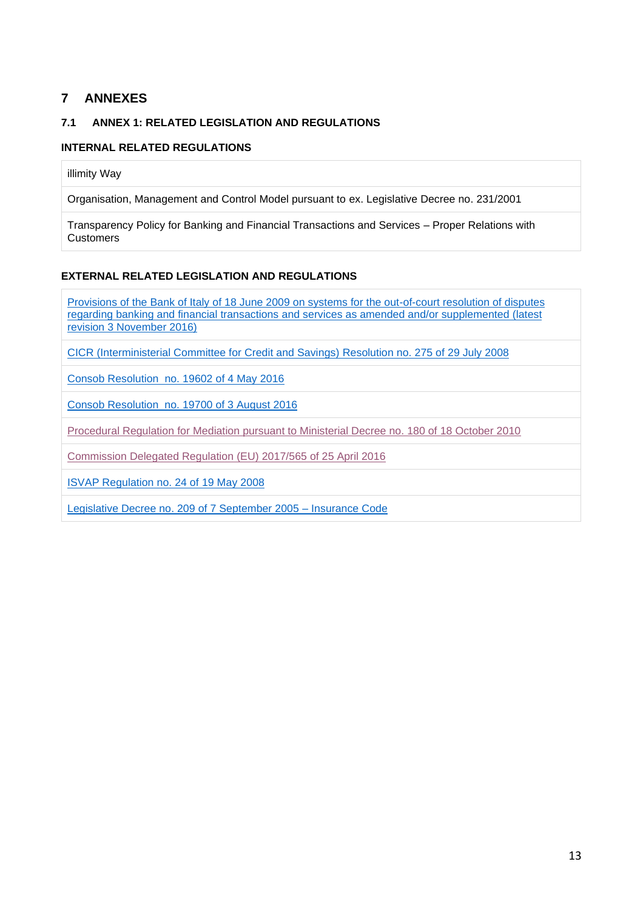# **7 ANNEXES**

# **7.1 ANNEX 1: RELATED LEGISLATION AND REGULATIONS**

# **INTERNAL RELATED REGULATIONS**

illimity Way

Organisation, Management and Control Model pursuant to ex. Legislative Decree no. 231/2001

Transparency Policy for Banking and Financial Transactions and Services – Proper Relations with **Customers** 

# **EXTERNAL RELATED LEGISLATION AND REGULATIONS**

[Provisions of the Bank of Italy of 18 June 2009 on systems for the out-of-court resolution of disputes](https://www.bancaditalia.it/compiti/vigilanza/normativa/archivio-norme/disposizioni/disposizioni/index.html) regarding banking and financial transactions [and services as amended and/or supplemented \(latest](https://www.bancaditalia.it/compiti/vigilanza/normativa/archivio-norme/disposizioni/disposizioni/index.html)  revision [3 November](https://www.bancaditalia.it/compiti/vigilanza/normativa/archivio-norme/disposizioni/disposizioni/index.html) 2016)

[CICR \(Interministerial Committee for Credit and Savings\) Resolution](https://www.bancaditalia.it/compiti/vigilanza/normativa/archivio-norme/delibere-cicr/delibera-20080729-275/index.html) no. 275 of 29 July 2008

Consob [Resolution no. 19602 of 4 May](http://www.consob.it/documents/46180/46181/d19602.pdf/568985a9-5f3f-48a7-9bc3-a923faa4832e) 2016

[Consob Resolution no. 19700 of 3 August](http://www.consob.it/documents/46180/46181/d19700.pdf/553c2360-67b6-474e-ad07-cb9754ec9c22) 2016

Procedural Regulation for Mediation [pursuant to Ministerial Decree no. 180 of 18 October 2010](http://www.conciliatorebancario.it/index.php/mediazione/regolamento)

[Commission Delegated Regulation \(EU\) 2017/565 of 25 April 2016](https://eur-lex.europa.eu/legal-content/IT/ALL/?uri=CELEX%3A32017R0565)

[ISVAP Regulation no. 24 of](https://www.ivass.it/normativa/nazionale/secondaria-ivass/regolamenti/2008/n24/index.html) 19 May 2008

[Legislative Decree no. 209 of 7 September 2005](https://www.gazzettaufficiale.it/atto/serie_generale/caricaDettaglioAtto/originario?atto.dataPubblicazioneGazzetta=2005-10-13&atto.codiceRedazionale=005G0233&elenco30giorni=false) – Insurance Code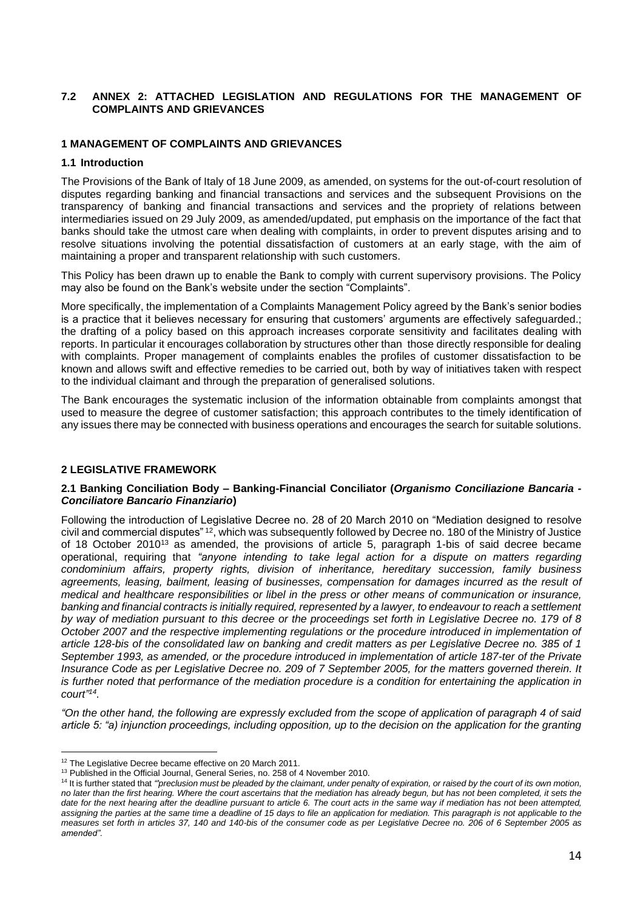#### **7.2 ANNEX 2: ATTACHED LEGISLATION AND REGULATIONS FOR THE MANAGEMENT OF COMPLAINTS AND GRIEVANCES**

#### **1 MANAGEMENT OF COMPLAINTS AND GRIEVANCES**

#### **1.1 Introduction**

The Provisions of the Bank of Italy of 18 June 2009, as amended, on systems for the out-of-court resolution of disputes regarding banking and financial transactions and services and the subsequent Provisions on the transparency of banking and financial transactions and services and the propriety of relations between intermediaries issued on 29 July 2009, as amended/updated, put emphasis on the importance of the fact that banks should take the utmost care when dealing with complaints, in order to prevent disputes arising and to resolve situations involving the potential dissatisfaction of customers at an early stage, with the aim of maintaining a proper and transparent relationship with such customers.

This Policy has been drawn up to enable the Bank to comply with current supervisory provisions. The Policy may also be found on the Bank's website under the section "Complaints".

More specifically, the implementation of a Complaints Management Policy agreed by the Bank's senior bodies is a practice that it believes necessary for ensuring that customers' arguments are effectively safeguarded.; the drafting of a policy based on this approach increases corporate sensitivity and facilitates dealing with reports. In particular it encourages collaboration by structures other than those directly responsible for dealing with complaints. Proper management of complaints enables the profiles of customer dissatisfaction to be known and allows swift and effective remedies to be carried out, both by way of initiatives taken with respect to the individual claimant and through the preparation of generalised solutions.

The Bank encourages the systematic inclusion of the information obtainable from complaints amongst that used to measure the degree of customer satisfaction; this approach contributes to the timely identification of any issues there may be connected with business operations and encourages the search for suitable solutions.

## **2 LEGISLATIVE FRAMEWORK**

#### **2.1 Banking Conciliation Body – Banking-Financial Conciliator (***Organismo Conciliazione Bancaria - Conciliatore Bancario Finanziario***)**

Following the introduction of Legislative Decree no. 28 of 20 March 2010 on "Mediation designed to resolve civil and commercial disputes" <sup>12</sup>, which was subsequently followed by Decree no. 180 of the Ministry of Justice of 18 October 2010<sup>13</sup> as amended, the provisions of article 5, paragraph 1-bis of said decree became operational, requiring that *"anyone intending to take legal action for a dispute on matters regarding condominium affairs, property rights, division of inheritance, hereditary succession, family business agreements, leasing, bailment, leasing of businesses, compensation for damages incurred as the result of medical and healthcare responsibilities or libel in the press or other means of communication or insurance, banking and financial contracts is initially required, represented by a lawyer, to endeavour to reach a settlement by way of mediation pursuant to this decree or the proceedings set forth in Legislative Decree no. 179 of 8 October 2007 and the respective implementing regulations or the procedure introduced in implementation of article 128-bis of the consolidated law on banking and credit matters as per Legislative Decree no. 385 of 1 September 1993, as amended, or the procedure introduced in implementation of article 187-ter of the Private Insurance Code as per Legislative Decree no. 209 of 7 September 2005, for the matters governed therein. It is further noted that performance of the mediation procedure is a condition for entertaining the application in court" 14 .*

*"On the other hand, the following are expressly excluded from the scope of application of paragraph 4 of said article 5: "a) injunction proceedings, including opposition, up to the decision on the application for the granting* 

<sup>&</sup>lt;sup>12</sup> The Legislative Decree became effective on 20 March 2011.

<sup>&</sup>lt;sup>13</sup> Published in the Official Journal, General Series, no. 258 of 4 November 2010.

<sup>&</sup>lt;sup>14</sup> It is further stated that "'preclusion must be pleaded by the claimant, under penalty of expiration, or raised by the court of its own motion, *no later than the first hearing. Where the court ascertains that the mediation has already begun, but has not been completed, it sets the date for the next hearing after the deadline pursuant to article 6. The court acts in the same way if mediation has not been attempted,*  assigning the parties at the same time a deadline of 15 days to file an application for mediation. This paragraph is not applicable to the *measures set forth in articles 37, 140 and 140-bis of the consumer code as per Legislative Decree no. 206 of 6 September 2005 as amended".*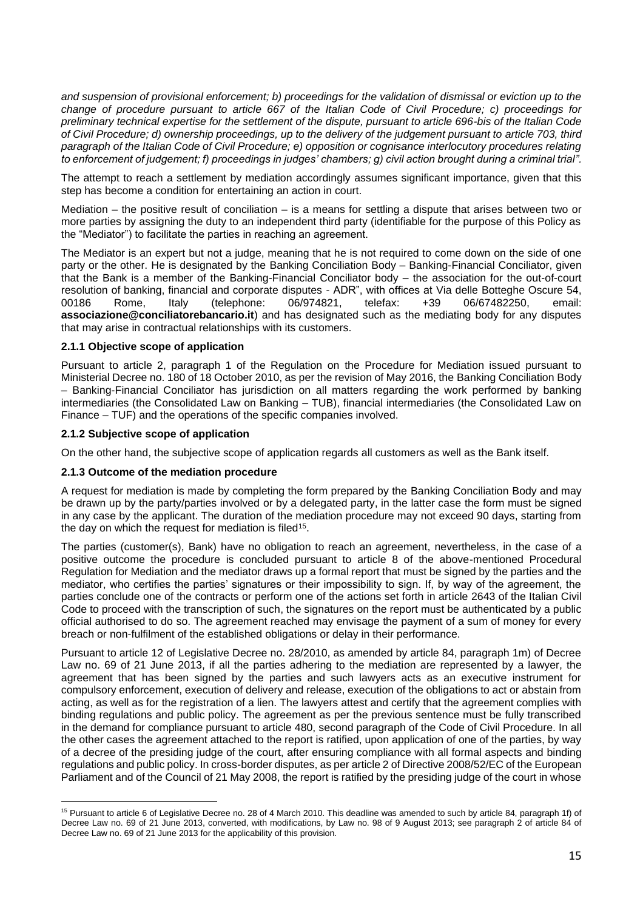*and suspension of provisional enforcement; b) proceedings for the validation of dismissal or eviction up to the change of procedure pursuant to article 667 of the Italian Code of Civil Procedure; c) proceedings for preliminary technical expertise for the settlement of the dispute, pursuant to article 696-bis of the Italian Code of Civil Procedure; d) ownership proceedings, up to the delivery of the judgement pursuant to article 703, third paragraph of the Italian Code of Civil Procedure; e) opposition or cognisance interlocutory procedures relating to enforcement of judgement; f) proceedings in judges' chambers; g) civil action brought during a criminal trial".*

The attempt to reach a settlement by mediation accordingly assumes significant importance, given that this step has become a condition for entertaining an action in court.

Mediation – the positive result of conciliation – is a means for settling a dispute that arises between two or more parties by assigning the duty to an independent third party (identifiable for the purpose of this Policy as the "Mediator") to facilitate the parties in reaching an agreement.

The Mediator is an expert but not a judge, meaning that he is not required to come down on the side of one party or the other. He is designated by the Banking Conciliation Body – Banking-Financial Conciliator, given that the Bank is a member of the Banking-Financial Conciliator body – the association for the out-of-court resolution of banking, financial and corporate disputes - ADR", with offices at Via delle Botteghe Oscure 54,<br>00186 Rome, Italy (telephone: 06/974821, telefax: +39 06/67482250, email: 00186 Rome, Italy (telephone: 06/974821, telefax: +39 06/67482250, email: **associazione@conciliatorebancario.it**) and has designated such as the mediating body for any disputes that may arise in contractual relationships with its customers.

## **2.1.1 Objective scope of application**

Pursuant to article 2, paragraph 1 of the Regulation on the Procedure for Mediation issued pursuant to Ministerial Decree no. 180 of 18 October 2010, as per the revision of May 2016, the Banking Conciliation Body – Banking-Financial Conciliator has jurisdiction on all matters regarding the work performed by banking intermediaries (the Consolidated Law on Banking – TUB), financial intermediaries (the Consolidated Law on Finance – TUF) and the operations of the specific companies involved.

#### **2.1.2 Subjective scope of application**

On the other hand, the subjective scope of application regards all customers as well as the Bank itself.

## **2.1.3 Outcome of the mediation procedure**

A request for mediation is made by completing the form prepared by the Banking Conciliation Body and may be drawn up by the party/parties involved or by a delegated party, in the latter case the form must be signed in any case by the applicant. The duration of the mediation procedure may not exceed 90 days, starting from the day on which the request for mediation is filed<sup>15</sup>.

The parties (customer(s), Bank) have no obligation to reach an agreement, nevertheless, in the case of a positive outcome the procedure is concluded pursuant to article 8 of the above-mentioned Procedural Regulation for Mediation and the mediator draws up a formal report that must be signed by the parties and the mediator, who certifies the parties' signatures or their impossibility to sign. If, by way of the agreement, the parties conclude one of the contracts or perform one of the actions set forth in article 2643 of the Italian Civil Code to proceed with the transcription of such, the signatures on the report must be authenticated by a public official authorised to do so. The agreement reached may envisage the payment of a sum of money for every breach or non-fulfilment of the established obligations or delay in their performance.

Pursuant to article 12 of Legislative Decree no. 28/2010, as amended by article 84, paragraph 1m) of Decree Law no. 69 of 21 June 2013, if all the parties adhering to the mediation are represented by a lawyer, the agreement that has been signed by the parties and such lawyers acts as an executive instrument for compulsory enforcement, execution of delivery and release, execution of the obligations to act or abstain from acting, as well as for the registration of a lien. The lawyers attest and certify that the agreement complies with binding regulations and public policy. The agreement as per the previous sentence must be fully transcribed in the demand for compliance pursuant to article 480, second paragraph of the Code of Civil Procedure. In all the other cases the agreement attached to the report is ratified, upon application of one of the parties, by way of a decree of the presiding judge of the court, after ensuring compliance with all formal aspects and binding regulations and public policy. In cross-border disputes, as per article 2 of Directive 2008/52/EC of the European Parliament and of the Council of 21 May 2008, the report is ratified by the presiding judge of the court in whose

<sup>&</sup>lt;sup>15</sup> Pursuant to article 6 of Legislative Decree no. 28 of 4 March 2010. This deadline was amended to such by article 84, paragraph 1f) of Decree Law no. 69 of 21 June 2013, converted, with modifications, by Law no. 98 of 9 August 2013; see paragraph 2 of article 84 of Decree Law no. 69 of 21 June 2013 for the applicability of this provision.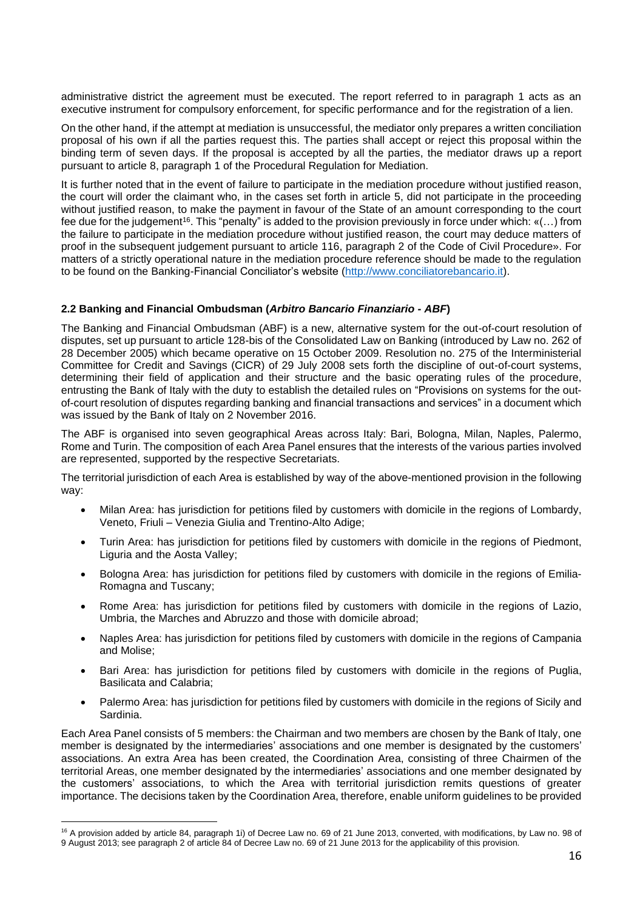administrative district the agreement must be executed. The report referred to in paragraph 1 acts as an executive instrument for compulsory enforcement, for specific performance and for the registration of a lien.

On the other hand, if the attempt at mediation is unsuccessful, the mediator only prepares a written conciliation proposal of his own if all the parties request this. The parties shall accept or reject this proposal within the binding term of seven days. If the proposal is accepted by all the parties, the mediator draws up a report pursuant to article 8, paragraph 1 of the Procedural Regulation for Mediation.

It is further noted that in the event of failure to participate in the mediation procedure without justified reason, the court will order the claimant who, in the cases set forth in article 5, did not participate in the proceeding without justified reason, to make the payment in favour of the State of an amount corresponding to the court fee due for the judgement<sup>16</sup>. This "penalty" is added to the provision previously in force under which:  $\kappa(...)$  from the failure to participate in the mediation procedure without justified reason, the court may deduce matters of proof in the subsequent judgement pursuant to article 116, paragraph 2 of the Code of Civil Procedure». For matters of a strictly operational nature in the mediation procedure reference should be made to the regulation to be found on the Banking-Financial Conciliator's website [\(http://www.conciliatorebancario.it\)](http://www.conciliatorebancario.it/).

## **2.2 Banking and Financial Ombudsman (***Arbitro Bancario Finanziario - ABF***)**

The Banking and Financial Ombudsman (ABF) is a new, alternative system for the out-of-court resolution of disputes, set up pursuant to article 128-bis of the Consolidated Law on Banking (introduced by Law no. 262 of 28 December 2005) which became operative on 15 October 2009. Resolution no. 275 of the Interministerial Committee for Credit and Savings (CICR) of 29 July 2008 sets forth the discipline of out-of-court systems, determining their field of application and their structure and the basic operating rules of the procedure, entrusting the Bank of Italy with the duty to establish the detailed rules on "Provisions [on systems for the out](https://www.bancaditalia.it/compiti/vigilanza/normativa/archivio-norme/disposizioni/disposizioni/index.html)[of-court resolution of disputes regarding banking and financial transactions and services"](https://www.bancaditalia.it/compiti/vigilanza/normativa/archivio-norme/disposizioni/disposizioni/index.html) in a document which was issued by the Bank of Italy on 2 November 2016.

The ABF is organised into seven geographical Areas across Italy: Bari, Bologna, Milan, Naples, Palermo, Rome and Turin. The composition of each Area Panel ensures that the interests of the various parties involved are represented, supported by the respective Secretariats.

The territorial jurisdiction of each Area is established by way of the above-mentioned provision in the following way:

- Milan Area: has jurisdiction for petitions filed by customers with domicile in the regions of Lombardy, Veneto, Friuli – Venezia Giulia and Trentino-Alto Adige;
- Turin Area: has jurisdiction for petitions filed by customers with domicile in the regions of Piedmont, Liguria and the Aosta Valley;
- Bologna Area: has jurisdiction for petitions filed by customers with domicile in the regions of Emilia-Romagna and Tuscany;
- Rome Area: has jurisdiction for petitions filed by customers with domicile in the regions of Lazio, Umbria, the Marches and Abruzzo and those with domicile abroad;
- Naples Area: has jurisdiction for petitions filed by customers with domicile in the regions of Campania and Molise;
- Bari Area: has jurisdiction for petitions filed by customers with domicile in the regions of Puglia, Basilicata and Calabria;
- Palermo Area: has jurisdiction for petitions filed by customers with domicile in the regions of Sicily and Sardinia.

Each Area Panel consists of 5 members: the Chairman and two members are chosen by the Bank of Italy, one member is designated by the intermediaries' associations and one member is designated by the customers' associations. An extra Area has been created, the Coordination Area, consisting of three Chairmen of the territorial Areas, one member designated by the intermediaries' associations and one member designated by the customers' associations, to which the Area with territorial jurisdiction remits questions of greater importance. The decisions taken by the Coordination Area, therefore, enable uniform guidelines to be provided

<sup>16</sup> A provision added by article 84, paragraph 1i) of Decree Law no. 69 of 21 June 2013, converted, with modifications, by Law no. 98 of 9 August 2013; see paragraph 2 of article 84 of Decree Law no. 69 of 21 June 2013 for the applicability of this provision.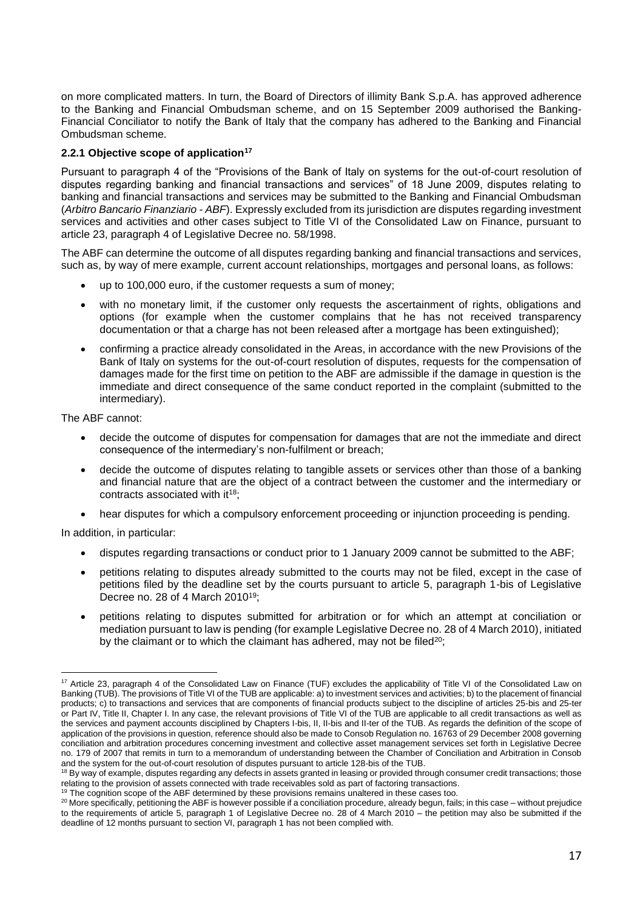on more complicated matters. In turn, the Board of Directors of illimity Bank S.p.A. has approved adherence to the Banking and Financial Ombudsman scheme, and on 15 September 2009 authorised the Banking-Financial Conciliator to notify the Bank of Italy that the company has adhered to the Banking and Financial Ombudsman scheme.

# **2.2.1 Objective scope of application<sup>17</sup>**

Pursuant to paragraph 4 of the "Provisions of the Bank of Italy on systems for the out-of-court resolution of disputes regarding banking and financial transactions and services" of 18 June 2009, disputes relating to banking and financial transactions and services may be submitted to the Banking and Financial Ombudsman (*Arbitro Bancario Finanziario - ABF*). Expressly excluded from its jurisdiction are disputes regarding investment services and activities and other cases subject to Title VI of the Consolidated Law on Finance, pursuant to article 23, paragraph 4 of Legislative Decree no. 58/1998.

The ABF can determine the outcome of all disputes regarding banking and financial transactions and services, such as, by way of mere example, current account relationships, mortgages and personal loans, as follows:

- up to 100,000 euro, if the customer requests a sum of money;
- with no monetary limit, if the customer only requests the ascertainment of rights, obligations and options (for example when the customer complains that he has not received transparency documentation or that a charge has not been released after a mortgage has been extinguished);
- confirming a practice already consolidated in the Areas, in accordance with the new Provisions of the Bank of Italy on systems for the out-of-court resolution of disputes, requests for the compensation of damages made for the first time on petition to the ABF are admissible if the damage in question is the immediate and direct consequence of the same conduct reported in the complaint (submitted to the intermediary).

The ABF cannot:

- decide the outcome of disputes for compensation for damages that are not the immediate and direct consequence of the intermediary's non-fulfilment or breach;
- decide the outcome of disputes relating to tangible assets or services other than those of a banking and financial nature that are the object of a contract between the customer and the intermediary or contracts associated with it<sup>18</sup>:
- hear disputes for which a compulsory enforcement proceeding or injunction proceeding is pending.

In addition, in particular:

- disputes regarding transactions or conduct prior to 1 January 2009 cannot be submitted to the ABF;
- petitions relating to disputes already submitted to the courts may not be filed, except in the case of petitions filed by the deadline set by the courts pursuant to article 5, paragraph 1-bis of Legislative Decree no. 28 of 4 March 2010<sup>19</sup>;
- petitions relating to disputes submitted for arbitration or for which an attempt at conciliation or mediation pursuant to law is pending (for example Legislative Decree no. 28 of 4 March 2010), initiated by the claimant or to which the claimant has adhered, may not be filed<sup>20</sup>;

<sup>17</sup> Article 23, paragraph 4 of the Consolidated Law on Finance (TUF) excludes the applicability of Title VI of the Consolidated Law on Banking (TUB). The provisions of Title VI of the TUB are applicable: a) to investment services and activities; b) to the placement of financial products; c) to transactions and services that are components of financial products subject to the discipline of articles 25-bis and 25-ter or Part IV, Title II, Chapter I. In any case, the relevant provisions of Title VI of the TUB are applicable to all credit transactions as well as the services and payment accounts disciplined by Chapters I-bis, II, II-bis and II-ter of the TUB. As regards the definition of the scope of application of the provisions in question, reference should also be made to Consob Regulation no. 16763 of 29 December 2008 governing conciliation and arbitration procedures concerning investment and collective asset management services set forth in Legislative Decree no. 179 of 2007 that remits in turn to a memorandum of understanding between the Chamber of Conciliation and Arbitration in Consob and the system for the out-of-court resolution of disputes pursuant to article 128-bis of the TUB.

<sup>&</sup>lt;sup>18</sup> By way of example, disputes regarding any defects in assets granted in leasing or provided through consumer credit transactions; those relating to the provision of assets connected with trade receivables sold as part of factoring transactions.

<sup>&</sup>lt;sup>19</sup> The cognition scope of the ABF determined by these provisions remains unaltered in these cases too.

<sup>&</sup>lt;sup>20</sup> More specifically, petitioning the ABF is however possible if a conciliation procedure, already begun, fails; in this case – without prejudice to the requirements of article 5, paragraph 1 of Legislative Decree no. 28 of 4 March 2010 – the petition may also be submitted if the deadline of 12 months pursuant to section VI, paragraph 1 has not been complied with.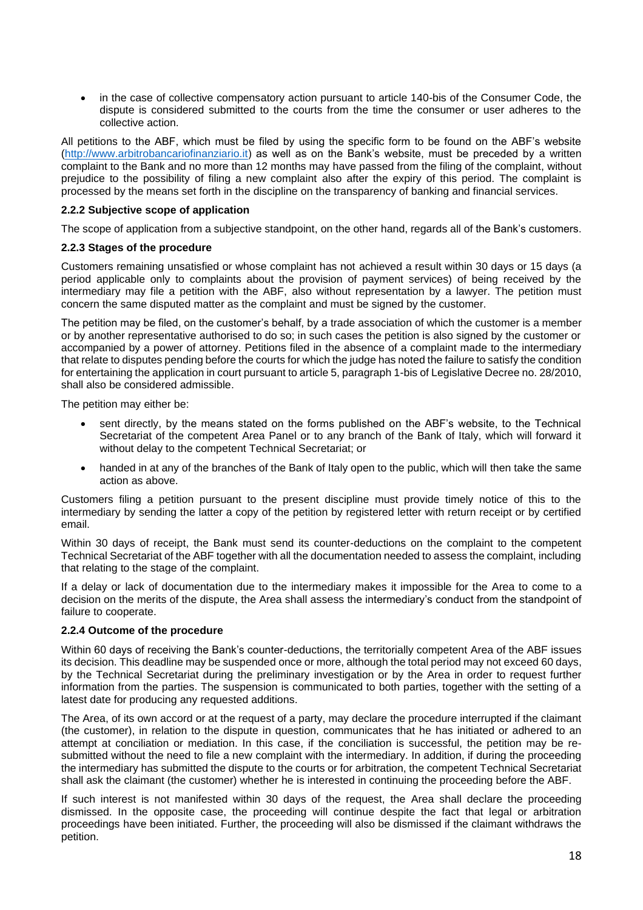in the case of collective compensatory action pursuant to article 140-bis of the Consumer Code, the dispute is considered submitted to the courts from the time the consumer or user adheres to the collective action.

All petitions to the ABF, which must be filed by using the specific form to be found on the ABF's website [\(http://www.arbitrobancariofinanziario.it\)](http://www.arbitrobancariofinanziario.it/) as well as on the Bank's website, must be preceded by a written complaint to the Bank and no more than 12 months may have passed from the filing of the complaint, without prejudice to the possibility of filing a new complaint also after the expiry of this period. The complaint is processed by the means set forth in the discipline on the transparency of banking and financial services.

## **2.2.2 Subjective scope of application**

The scope of application from a subjective standpoint, on the other hand, regards all of the Bank's customers.

## **2.2.3 Stages of the procedure**

Customers remaining unsatisfied or whose complaint has not achieved a result within 30 days or 15 days (a period applicable only to complaints about the provision of payment services) of being received by the intermediary may file a petition with the ABF, also without representation by a lawyer. The petition must concern the same disputed matter as the complaint and must be signed by the customer.

The petition may be filed, on the customer's behalf, by a trade association of which the customer is a member or by another representative authorised to do so; in such cases the petition is also signed by the customer or accompanied by a power of attorney. Petitions filed in the absence of a complaint made to the intermediary that relate to disputes pending before the courts for which the judge has noted the failure to satisfy the condition for entertaining the application in court pursuant to article 5, paragraph 1-bis of Legislative Decree no. 28/2010, shall also be considered admissible.

The petition may either be:

- sent directly, by the means stated on the forms published on the ABF's website, to the Technical Secretariat of the competent Area Panel or to any branch of the Bank of Italy, which will forward it without delay to the competent Technical Secretariat; or
- handed in at any of the branches of the Bank of Italy open to the public, which will then take the same action as above.

Customers filing a petition pursuant to the present discipline must provide timely notice of this to the intermediary by sending the latter a copy of the petition by registered letter with return receipt or by certified email.

Within 30 days of receipt, the Bank must send its counter-deductions on the complaint to the competent Technical Secretariat of the ABF together with all the documentation needed to assess the complaint, including that relating to the stage of the complaint.

If a delay or lack of documentation due to the intermediary makes it impossible for the Area to come to a decision on the merits of the dispute, the Area shall assess the intermediary's conduct from the standpoint of failure to cooperate.

## **2.2.4 Outcome of the procedure**

Within 60 days of receiving the Bank's counter-deductions, the territorially competent Area of the ABF issues its decision. This deadline may be suspended once or more, although the total period may not exceed 60 days, by the Technical Secretariat during the preliminary investigation or by the Area in order to request further information from the parties. The suspension is communicated to both parties, together with the setting of a latest date for producing any requested additions.

The Area, of its own accord or at the request of a party, may declare the procedure interrupted if the claimant (the customer), in relation to the dispute in question, communicates that he has initiated or adhered to an attempt at conciliation or mediation. In this case, if the conciliation is successful, the petition may be resubmitted without the need to file a new complaint with the intermediary. In addition, if during the proceeding the intermediary has submitted the dispute to the courts or for arbitration, the competent Technical Secretariat shall ask the claimant (the customer) whether he is interested in continuing the proceeding before the ABF.

If such interest is not manifested within 30 days of the request, the Area shall declare the proceeding dismissed. In the opposite case, the proceeding will continue despite the fact that legal or arbitration proceedings have been initiated. Further, the proceeding will also be dismissed if the claimant withdraws the petition.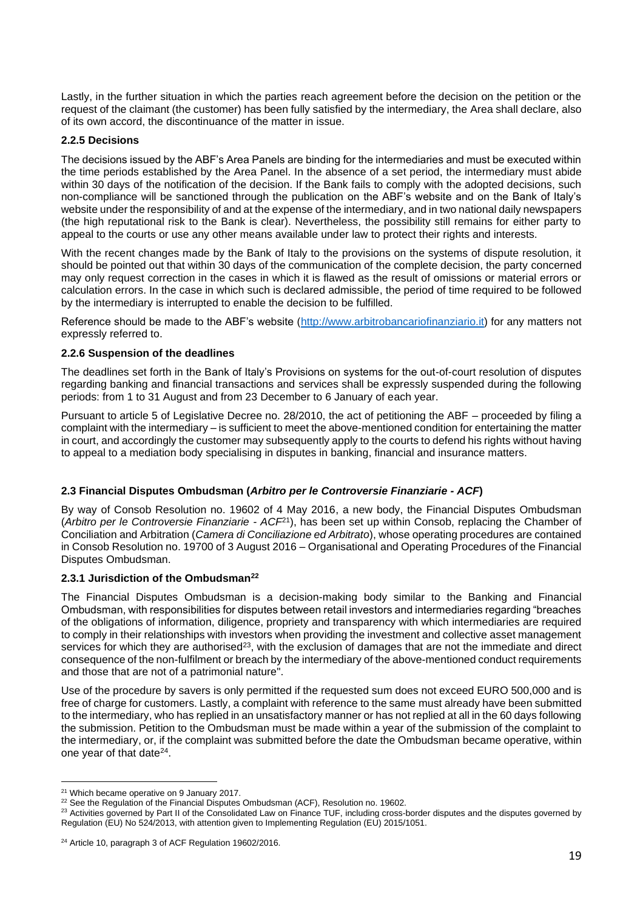Lastly, in the further situation in which the parties reach agreement before the decision on the petition or the request of the claimant (the customer) has been fully satisfied by the intermediary, the Area shall declare, also of its own accord, the discontinuance of the matter in issue.

#### **2.2.5 Decisions**

The decisions issued by the ABF's Area Panels are binding for the intermediaries and must be executed within the time periods established by the Area Panel. In the absence of a set period, the intermediary must abide within 30 days of the notification of the decision. If the Bank fails to comply with the adopted decisions, such non-compliance will be sanctioned through the publication on the ABF's website and on the Bank of Italy's website under the responsibility of and at the expense of the intermediary, and in two national daily newspapers (the high reputational risk to the Bank is clear). Nevertheless, the possibility still remains for either party to appeal to the courts or use any other means available under law to protect their rights and interests.

With the recent changes made by the Bank of Italy to the provisions on the systems of dispute resolution, it should be pointed out that within 30 days of the communication of the complete decision, the party concerned may only request correction in the cases in which it is flawed as the result of omissions or material errors or calculation errors. In the case in which such is declared admissible, the period of time required to be followed by the intermediary is interrupted to enable the decision to be fulfilled.

Reference should be made to the ABF's website [\(http://www.arbitrobancariofinanziario.it\)](http://www.arbitrobancariofinanziario.it/) for any matters not expressly referred to.

## **2.2.6 Suspension of the deadlines**

The deadlines set forth in the Bank of Italy's Provisions on systems for the out-of-court resolution of disputes regarding banking and financial transactions and services shall be expressly suspended during the following periods: from 1 to 31 August and from 23 December to 6 January of each year.

Pursuant to article 5 of Legislative Decree no. 28/2010, the act of petitioning the ABF – proceeded by filing a complaint with the intermediary – is sufficient to meet the above-mentioned condition for entertaining the matter in court, and accordingly the customer may subsequently apply to the courts to defend his rights without having to appeal to a mediation body specialising in disputes in banking, financial and insurance matters.

## **2.3 Financial Disputes Ombudsman (***Arbitro per le Controversie Finanziarie - ACF***)**

By way of Consob Resolution no. 19602 of 4 May 2016, a new body, the Financial Disputes Ombudsman (*Arbitro per le Controversie Finanziarie - ACF*<sup>21</sup>), has been set up within Consob, replacing the Chamber of Conciliation and Arbitration (*Camera di Conciliazione ed Arbitrato*), whose operating procedures are contained in Consob Resolution no. 19700 of 3 August 2016 – Organisational and Operating Procedures of the Financial Disputes Ombudsman.

#### **2.3.1 Jurisdiction of the Ombudsman<sup>22</sup>**

The Financial Disputes Ombudsman is a decision-making body similar to the Banking and Financial Ombudsman, with responsibilities for disputes between retail investors and intermediaries regarding "breaches of the obligations of information, diligence, propriety and transparency with which intermediaries are required to comply in their relationships with investors when providing the investment and collective asset management services for which they are authorised<sup>23</sup>, with the exclusion of damages that are not the immediate and direct consequence of the non-fulfilment or breach by the intermediary of the above-mentioned conduct requirements and those that are not of a patrimonial nature".

Use of the procedure by savers is only permitted if the requested sum does not exceed EURO 500,000 and is free of charge for customers. Lastly, a complaint with reference to the same must already have been submitted to the intermediary, who has replied in an unsatisfactory manner or has not replied at all in the 60 days following the submission. Petition to the Ombudsman must be made within a year of the submission of the complaint to the intermediary, or, if the complaint was submitted before the date the Ombudsman became operative, within one year of that date<sup>24</sup>.

<sup>&</sup>lt;sup>21</sup> Which became operative on 9 January 2017.

<sup>&</sup>lt;sup>22</sup> See the Regulation of the Financial Disputes Ombudsman (ACF), Resolution no. 19602.

<sup>&</sup>lt;sup>23</sup> Activities governed by Part II of the Consolidated Law on Finance TUF, including cross-border disputes and the disputes governed by Regulation (EU) No 524/2013, with attention given to Implementing Regulation (EU) 2015/1051.

<sup>&</sup>lt;sup>24</sup> Article 10, paragraph 3 of ACF Regulation 19602/2016.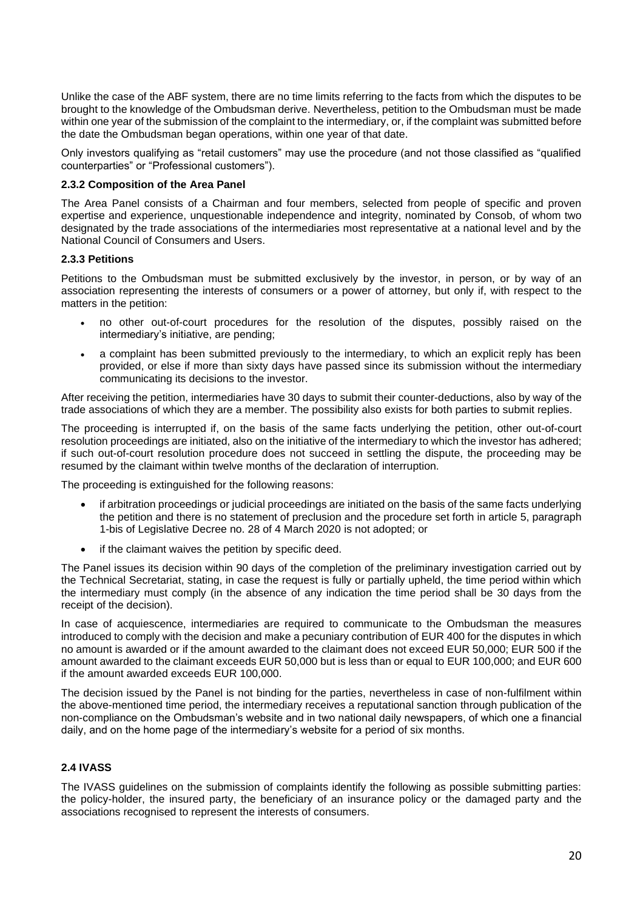Unlike the case of the ABF system, there are no time limits referring to the facts from which the disputes to be brought to the knowledge of the Ombudsman derive. Nevertheless, petition to the Ombudsman must be made within one year of the submission of the complaint to the intermediary, or, if the complaint was submitted before the date the Ombudsman began operations, within one year of that date.

Only investors qualifying as "retail customers" may use the procedure (and not those classified as "qualified counterparties" or "Professional customers").

## **2.3.2 Composition of the Area Panel**

The Area Panel consists of a Chairman and four members, selected from people of specific and proven expertise and experience, unquestionable independence and integrity, nominated by Consob, of whom two designated by the trade associations of the intermediaries most representative at a national level and by the National Council of Consumers and Users.

#### **2.3.3 Petitions**

Petitions to the Ombudsman must be submitted exclusively by the investor, in person, or by way of an association representing the interests of consumers or a power of attorney, but only if, with respect to the matters in the petition:

- no other out-of-court procedures for the resolution of the disputes, possibly raised on the intermediary's initiative, are pending;
- a complaint has been submitted previously to the intermediary, to which an explicit reply has been provided, or else if more than sixty days have passed since its submission without the intermediary communicating its decisions to the investor.

After receiving the petition, intermediaries have 30 days to submit their counter-deductions, also by way of the trade associations of which they are a member. The possibility also exists for both parties to submit replies.

The proceeding is interrupted if, on the basis of the same facts underlying the petition, other out-of-court resolution proceedings are initiated, also on the initiative of the intermediary to which the investor has adhered; if such out-of-court resolution procedure does not succeed in settling the dispute, the proceeding may be resumed by the claimant within twelve months of the declaration of interruption.

The proceeding is extinguished for the following reasons:

- if arbitration proceedings or judicial proceedings are initiated on the basis of the same facts underlying the petition and there is no statement of preclusion and the procedure set forth in article 5, paragraph 1-bis of Legislative Decree no. 28 of 4 March 2020 is not adopted; or
- if the claimant waives the petition by specific deed.

The Panel issues its decision within 90 days of the completion of the preliminary investigation carried out by the Technical Secretariat, stating, in case the request is fully or partially upheld, the time period within which the intermediary must comply (in the absence of any indication the time period shall be 30 days from the receipt of the decision).

In case of acquiescence, intermediaries are required to communicate to the Ombudsman the measures introduced to comply with the decision and make a pecuniary contribution of EUR 400 for the disputes in which no amount is awarded or if the amount awarded to the claimant does not exceed EUR 50,000; EUR 500 if the amount awarded to the claimant exceeds EUR 50,000 but is less than or equal to EUR 100,000; and EUR 600 if the amount awarded exceeds EUR 100,000.

The decision issued by the Panel is not binding for the parties, nevertheless in case of non-fulfilment within the above-mentioned time period, the intermediary receives a reputational sanction through publication of the non-compliance on the Ombudsman's website and in two national daily newspapers, of which one a financial daily, and on the home page of the intermediary's website for a period of six months.

## **2.4 IVASS**

The IVASS guidelines on the submission of complaints identify the following as possible submitting parties: the policy-holder, the insured party, the beneficiary of an insurance policy or the damaged party and the associations recognised to represent the interests of consumers.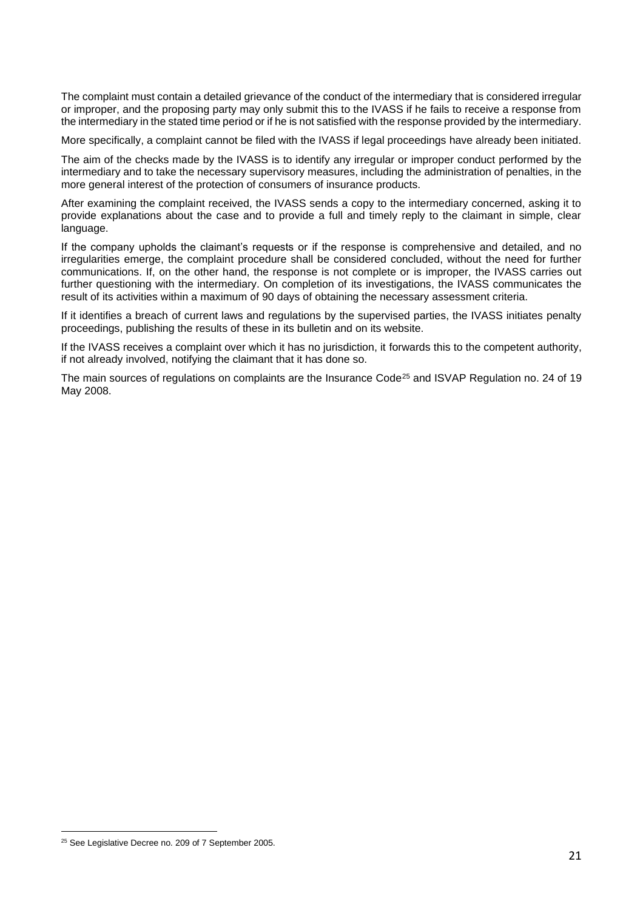The complaint must contain a detailed grievance of the conduct of the intermediary that is considered irregular or improper, and the proposing party may only submit this to the IVASS if he fails to receive a response from the intermediary in the stated time period or if he is not satisfied with the response provided by the intermediary.

More specifically, a complaint cannot be filed with the IVASS if legal proceedings have already been initiated.

The aim of the checks made by the IVASS is to identify any irregular or improper conduct performed by the intermediary and to take the necessary supervisory measures, including the administration of penalties, in the more general interest of the protection of consumers of insurance products.

After examining the complaint received, the IVASS sends a copy to the intermediary concerned, asking it to provide explanations about the case and to provide a full and timely reply to the claimant in simple, clear language.

If the company upholds the claimant's requests or if the response is comprehensive and detailed, and no irregularities emerge, the complaint procedure shall be considered concluded, without the need for further communications. If, on the other hand, the response is not complete or is improper, the IVASS carries out further questioning with the intermediary. On completion of its investigations, the IVASS communicates the result of its activities within a maximum of 90 days of obtaining the necessary assessment criteria.

If it identifies a breach of current laws and regulations by the supervised parties, the IVASS initiates penalty proceedings, publishing the results of these in its bulletin and on its website.

If the IVASS receives a complaint over which it has no jurisdiction, it forwards this to the competent authority, if not already involved, notifying the claimant that it has done so.

The main sources of regulations on complaints are the Insurance Code<sup>25</sup> and ISVAP Regulation no. 24 of 19 May 2008.

<sup>&</sup>lt;sup>25</sup> See Legislative Decree no. 209 of 7 September 2005.